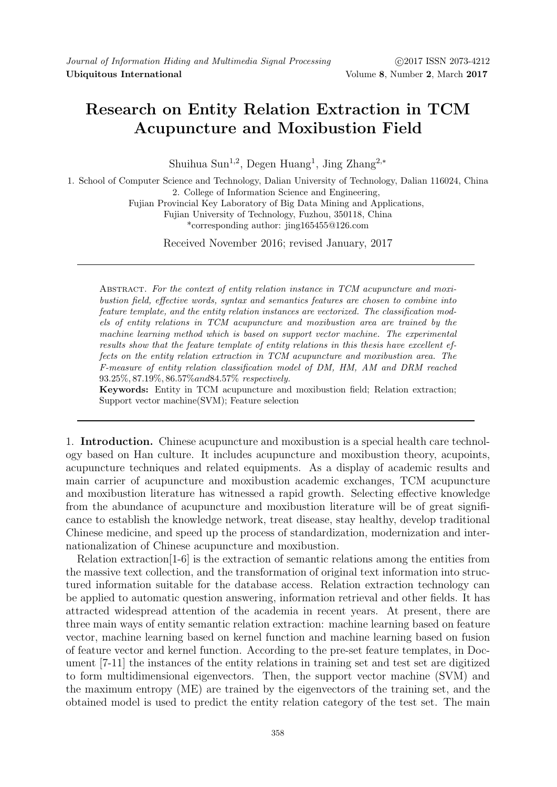## Research on Entity Relation Extraction in TCM Acupuncture and Moxibustion Field

Shuihua Sun<sup>1,2</sup>, Degen Huang<sup>1</sup>, Jing Zhang<sup>2,\*</sup>

1. School of Computer Science and Technology, Dalian University of Technology, Dalian 116024, China 2. College of Information Science and Engineering,

Fujian Provincial Key Laboratory of Big Data Mining and Applications,

Fujian University of Technology, Fuzhou, 350118, China \*corresponding author: jing165455@126.com

Received November 2016; revised January, 2017

Abstract. For the context of entity relation instance in TCM acupuncture and moxibustion field, effective words, syntax and semantics features are chosen to combine into feature template, and the entity relation instances are vectorized. The classification models of entity relations in TCM acupuncture and moxibustion area are trained by the machine learning method which is based on support vector machine. The experimental results show that the feature template of entity relations in this thesis have excellent effects on the entity relation extraction in TCM acupuncture and moxibustion area. The F-measure of entity relation classification model of DM, HM, AM and DRM reached 93.25%, 87.19%, 86.57%and84.57% respectively.

Keywords: Entity in TCM acupuncture and moxibustion field; Relation extraction; Support vector machine(SVM); Feature selection

1. Introduction. Chinese acupuncture and moxibustion is a special health care technology based on Han culture. It includes acupuncture and moxibustion theory, acupoints, acupuncture techniques and related equipments. As a display of academic results and main carrier of acupuncture and moxibustion academic exchanges, TCM acupuncture and moxibustion literature has witnessed a rapid growth. Selecting effective knowledge from the abundance of acupuncture and moxibustion literature will be of great significance to establish the knowledge network, treat disease, stay healthy, develop traditional Chinese medicine, and speed up the process of standardization, modernization and internationalization of Chinese acupuncture and moxibustion.

Relation extraction[1-6] is the extraction of semantic relations among the entities from the massive text collection, and the transformation of original text information into structured information suitable for the database access. Relation extraction technology can be applied to automatic question answering, information retrieval and other fields. It has attracted widespread attention of the academia in recent years. At present, there are three main ways of entity semantic relation extraction: machine learning based on feature vector, machine learning based on kernel function and machine learning based on fusion of feature vector and kernel function. According to the pre-set feature templates, in Document [7-11] the instances of the entity relations in training set and test set are digitized to form multidimensional eigenvectors. Then, the support vector machine (SVM) and the maximum entropy (ME) are trained by the eigenvectors of the training set, and the obtained model is used to predict the entity relation category of the test set. The main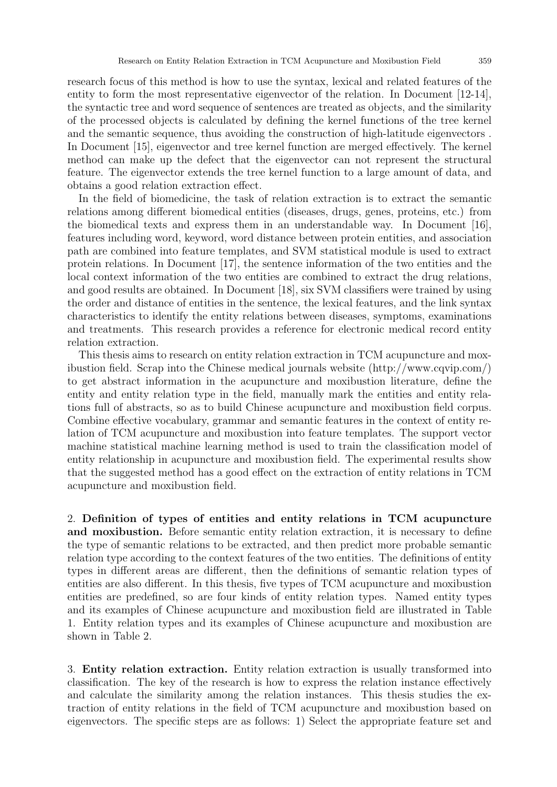research focus of this method is how to use the syntax, lexical and related features of the entity to form the most representative eigenvector of the relation. In Document [12-14], the syntactic tree and word sequence of sentences are treated as objects, and the similarity of the processed objects is calculated by defining the kernel functions of the tree kernel and the semantic sequence, thus avoiding the construction of high-latitude eigenvectors . In Document [15], eigenvector and tree kernel function are merged effectively. The kernel method can make up the defect that the eigenvector can not represent the structural feature. The eigenvector extends the tree kernel function to a large amount of data, and obtains a good relation extraction effect.

In the field of biomedicine, the task of relation extraction is to extract the semantic relations among different biomedical entities (diseases, drugs, genes, proteins, etc.) from the biomedical texts and express them in an understandable way. In Document [16], features including word, keyword, word distance between protein entities, and association path are combined into feature templates, and SVM statistical module is used to extract protein relations. In Document [17], the sentence information of the two entities and the local context information of the two entities are combined to extract the drug relations, and good results are obtained. In Document [18], six SVM classifiers were trained by using the order and distance of entities in the sentence, the lexical features, and the link syntax characteristics to identify the entity relations between diseases, symptoms, examinations and treatments. This research provides a reference for electronic medical record entity relation extraction.

This thesis aims to research on entity relation extraction in TCM acupuncture and moxibustion field. Scrap into the Chinese medical journals website (http://www.cqvip.com/) to get abstract information in the acupuncture and moxibustion literature, define the entity and entity relation type in the field, manually mark the entities and entity relations full of abstracts, so as to build Chinese acupuncture and moxibustion field corpus. Combine effective vocabulary, grammar and semantic features in the context of entity relation of TCM acupuncture and moxibustion into feature templates. The support vector machine statistical machine learning method is used to train the classification model of entity relationship in acupuncture and moxibustion field. The experimental results show that the suggested method has a good effect on the extraction of entity relations in TCM acupuncture and moxibustion field.

2. Definition of types of entities and entity relations in TCM acupuncture and moxibustion. Before semantic entity relation extraction, it is necessary to define the type of semantic relations to be extracted, and then predict more probable semantic relation type according to the context features of the two entities. The definitions of entity types in different areas are different, then the definitions of semantic relation types of entities are also different. In this thesis, five types of TCM acupuncture and moxibustion entities are predefined, so are four kinds of entity relation types. Named entity types and its examples of Chinese acupuncture and moxibustion field are illustrated in Table 1. Entity relation types and its examples of Chinese acupuncture and moxibustion are shown in Table 2.

3. Entity relation extraction. Entity relation extraction is usually transformed into classification. The key of the research is how to express the relation instance effectively and calculate the similarity among the relation instances. This thesis studies the extraction of entity relations in the field of TCM acupuncture and moxibustion based on eigenvectors. The specific steps are as follows: 1) Select the appropriate feature set and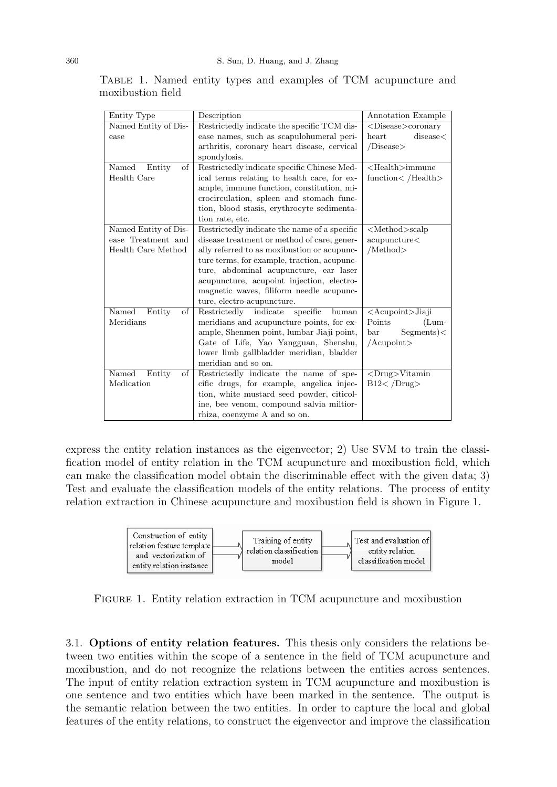| Entity Type           | Description                                  | Annotation Example               |  |  |
|-----------------------|----------------------------------------------|----------------------------------|--|--|
| Named Entity of Dis-  | Restrictedly indicate the specific TCM dis-  | <disease>coronary</disease>      |  |  |
| ease                  | ease names, such as scapulohumeral peri-     | discase<<br>heart                |  |  |
|                       | arthritis, coronary heart disease, cervical  | /Disease>                        |  |  |
|                       | spondylosis.                                 |                                  |  |  |
| Named<br>Entity<br>of | Restrictedly indicate specific Chinese Med-  | $<$ Health $>$ immune            |  |  |
| Health Care           | ical terms relating to health care, for ex-  | function $<$ /Health $>$         |  |  |
|                       | ample, immune function, constitution, mi-    |                                  |  |  |
|                       | crocirculation, spleen and stomach func-     |                                  |  |  |
|                       | tion, blood stasis, erythrocyte sedimenta-   |                                  |  |  |
|                       | tion rate, etc.                              |                                  |  |  |
| Named Entity of Dis-  | Restrictedly indicate the name of a specific | $\leq$ Method $>$ scalp          |  |  |
| ease Treatment and    | disease treatment or method of care, gener-  | acupuncture<                     |  |  |
| Health Care Method    | ally referred to as moxibustion or acupunc-  | /Method>                         |  |  |
|                       | ture terms, for example, traction, acupunc-  |                                  |  |  |
|                       | ture, abdominal acupuncture, ear laser       |                                  |  |  |
|                       | acupuncture, acupoint injection, electro-    |                                  |  |  |
|                       | magnetic waves, filiform needle acupunc-     |                                  |  |  |
|                       | ture, electro-acupuncture.                   |                                  |  |  |
| Named<br>Entity<br>οf | Restrictedly indicate<br>specific<br>human   | <acupoint>Jiaji</acupoint>       |  |  |
| Meridians             | meridians and acupuncture points, for ex-    | Points<br>$(Lum-$                |  |  |
|                       | ample, Shenmen point, lumbar Jiaji point,    | $Segments$ $\lt$<br>$_{\rm bar}$ |  |  |
|                       | Gate of Life, Yao Yangguan, Shenshu,         | $/$ Acupoint $>$                 |  |  |
|                       | lower limb gallbladder meridian, bladder     |                                  |  |  |
|                       | meridian and so on.                          |                                  |  |  |
| Named<br>Entity<br>οf | Restrictedly indicate the name of spe-       | $\langle Drug \rangle$ Vitamin   |  |  |
| Medication            | cific drugs, for example, angelica injec-    | B12 < /Drug                      |  |  |
|                       | tion, white mustard seed powder, citicol-    |                                  |  |  |
|                       | ine, bee venom, compound salvia miltior-     |                                  |  |  |
|                       | rhiza, coenzyme A and so on.                 |                                  |  |  |

Table 1. Named entity types and examples of TCM acupuncture and moxibustion field

express the entity relation instances as the eigenvector; 2) Use SVM to train the classification model of entity relation in the TCM acupuncture and moxibustion field, which can make the classification model obtain the discriminable effect with the given data; 3) Test and evaluate the classification models of the entity relations. The process of entity relation extraction in Chinese acupuncture and moxibustion field is shown in Figure 1.



Figure 1. Entity relation extraction in TCM acupuncture and moxibustion

3.1. Options of entity relation features. This thesis only considers the relations between two entities within the scope of a sentence in the field of TCM acupuncture and moxibustion, and do not recognize the relations between the entities across sentences. The input of entity relation extraction system in TCM acupuncture and moxibustion is one sentence and two entities which have been marked in the sentence. The output is the semantic relation between the two entities. In order to capture the local and global features of the entity relations, to construct the eigenvector and improve the classification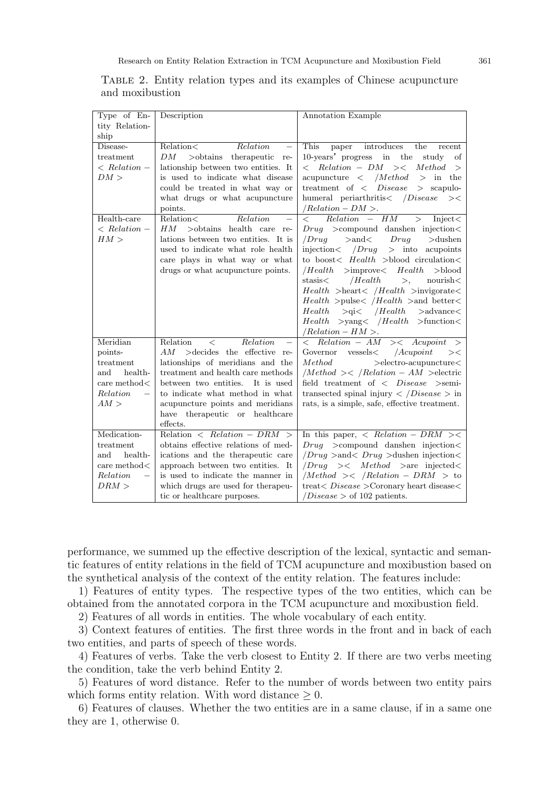| Type of En-                  | Description                                                              | Annotation Example                                                                                                                     |
|------------------------------|--------------------------------------------------------------------------|----------------------------------------------------------------------------------------------------------------------------------------|
| tity Relation-               |                                                                          |                                                                                                                                        |
| ship                         |                                                                          |                                                                                                                                        |
| Disease-                     | Relation<<br>Relation<br>$\overline{\phantom{0}}$                        | This<br>paper<br>introduces<br>the<br>recent                                                                                           |
| treatment                    | DМ<br>>obtains therapeutic re-                                           | 10-years' progress in the<br>study<br>of                                                                                               |
| $\langle$ Relation –         | lationship between two entities. It                                      | $\langle$ Relation – DM $>\leq$<br>Method<br>$\geq$                                                                                    |
| DM >                         | is used to indicate what disease                                         | acupuncture $\langle$ / <i>Method</i> $>$ in the                                                                                       |
|                              | could be treated in what way or                                          | treatment of $\langle$ <i>Disease</i> $\rangle$ scapulo-                                                                               |
|                              | what drugs or what acupuncture                                           | humeral periarthritis / Disease<br>><                                                                                                  |
|                              | points.                                                                  | $/Relation - DM >.$                                                                                                                    |
| Health-care                  | Relation<<br>Relation                                                    | $Relation - HM$<br>$\lt$<br>$\geq$<br>Inject <                                                                                         |
| $\langle$ Relation –<br>HM > | $HM$ $>$ obtains health care re-                                         | $Drug \rightarrow$ compound danshen injection $\lt$                                                                                    |
|                              | lations between two entities. It is<br>used to indicate what role health | /Drug<br>$>$ and $<$ $Drug$<br>$>\!\!$ dushen<br>injection $\langle$ /Drug<br>$>$ into acupoints                                       |
|                              | care plays in what way or what                                           | to boost< $Health$ >blood circulation<                                                                                                 |
|                              | drugs or what acupuncture points.                                        | $ Health$ >improve< $Health$ >blood                                                                                                    |
|                              |                                                                          | stasis< $/Health$<br>$\text{nonvisible}$<br>>,                                                                                         |
|                              |                                                                          | $Health$ >heart< /Health >invigorate<                                                                                                  |
|                              |                                                                          | $Health$ >pulse< /Health >and better<                                                                                                  |
|                              |                                                                          | $Health \quad >qi \lt \quad /Health \quad >advance \lt$                                                                                |
|                              |                                                                          | $Health$ >yang< /Health >function<                                                                                                     |
|                              |                                                                          | $/Relation-HM$ .                                                                                                                       |
| Meridian                     | Relation<br>Relation<br>$\lt$<br>$\overline{\phantom{m}}$                | $\overline{\left\langle \quad \text{Relation} - \text{AM} \quad \right\rangle \left\langle \quad \text{Acupoint} \quad \right\rangle}$ |
| points-                      | $>\!\!$ decides the effective re-<br>AM                                  | Governor $v$ essels< / <i>Acupoint</i><br>><                                                                                           |
| treatment                    | lationships of meridians and the                                         | Method<br>$>\!\!$ electro-acupuncture $<$                                                                                              |
| health-<br>and               | treatment and health care methods                                        | $/Method \geq$ /Relation – AM $>$ electric                                                                                             |
| care method $<$              | between two entities. It is used                                         | field treatment of $\langle$ <i>Disease</i> >semi-                                                                                     |
| Relation                     | to indicate what method in what                                          | transected spinal injury $\langle$ /Disease $>$ in                                                                                     |
| AM >                         | acupuncture points and meridians                                         | rats, is a simple, safe, effective treatment.                                                                                          |
|                              | have therapeutic or healthcare                                           |                                                                                                                                        |
|                              | effects.                                                                 |                                                                                                                                        |
| Medication-                  | Relation $\langle Relation - DRM \rangle$                                | In this paper, $\langle Relation - DRM \rangle \langle \langle$                                                                        |
| treatment                    | obtains effective relations of med-                                      | $Drug$ >compound danshen injection<                                                                                                    |
| health-<br>and               | ications and the therapeutic care                                        | $\langle Drug \rangle$ > and $\langle Drug \rangle$ > dushen injection $\langle$                                                       |
| care method $<$<br>Relation  | approach between two entities. It                                        | $\langle Drug \rangle \langle Method \rangle$ are injected                                                                             |
| DRM >                        | is used to indicate the manner in                                        | /Method >< /Relation - DRM > to                                                                                                        |
|                              | which drugs are used for therapeu-                                       | $treat < Discase > Coronary$ heart disease<                                                                                            |
|                              | tic or healthcare purposes.                                              | $\overline{Disease}$ of 102 patients.                                                                                                  |

## Table 2. Entity relation types and its examples of Chinese acupuncture and moxibustion

performance, we summed up the effective description of the lexical, syntactic and semantic features of entity relations in the field of TCM acupuncture and moxibustion based on the synthetical analysis of the context of the entity relation. The features include:

1) Features of entity types. The respective types of the two entities, which can be obtained from the annotated corpora in the TCM acupuncture and moxibustion field.

2) Features of all words in entities. The whole vocabulary of each entity.

3) Context features of entities. The first three words in the front and in back of each two entities, and parts of speech of these words.

4) Features of verbs. Take the verb closest to Entity 2. If there are two verbs meeting the condition, take the verb behind Entity 2.

5) Features of word distance. Refer to the number of words between two entity pairs which forms entity relation. With word distance  $\geq 0$ .

6) Features of clauses. Whether the two entities are in a same clause, if in a same one they are 1, otherwise 0.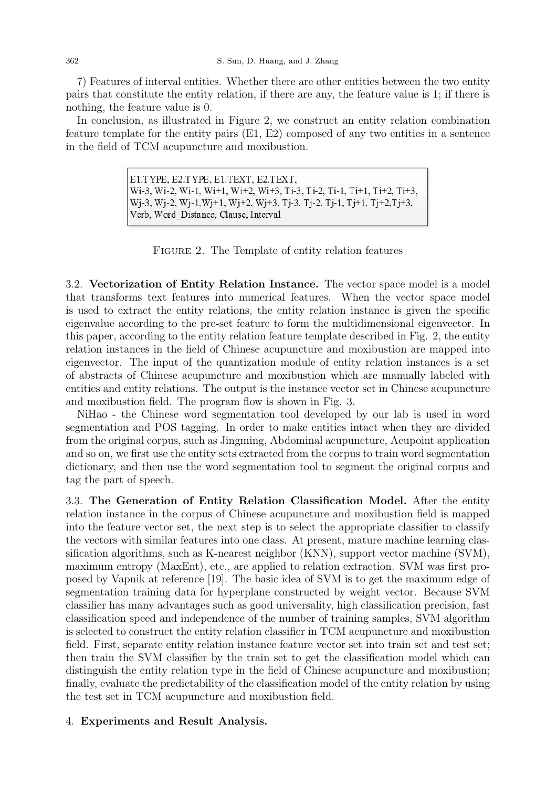7) Features of interval entities. Whether there are other entities between the two entity pairs that constitute the entity relation, if there are any, the feature value is 1; if there is nothing, the feature value is 0.

In conclusion, as illustrated in Figure 2, we construct an entity relation combination feature template for the entity pairs (E1, E2) composed of any two entities in a sentence in the field of TCM acupuncture and moxibustion.

> E1.TYPE, E2.TYPE, E1.TEXT, E2.TEXT, Wi-3, Wi-2, Wi-1, Wi+1, Wi+2, Wi+3, Ti-3, Ti-2, Ti-1, Ti+1, Ti+2, Ti+3, Wj-3, Wj-2, Wj-1, Wj+1, Wj+2, Wj+3, Tj-3, Tj-2, Tj-1, Tj+1, Tj+2, Tj+3, Verb, Word Distance, Clause, Interval

FIGURE 2. The Template of entity relation features

3.2. Vectorization of Entity Relation Instance. The vector space model is a model that transforms text features into numerical features. When the vector space model is used to extract the entity relations, the entity relation instance is given the specific eigenvalue according to the pre-set feature to form the multidimensional eigenvector. In this paper, according to the entity relation feature template described in Fig. 2, the entity relation instances in the field of Chinese acupuncture and moxibustion are mapped into eigenvector. The input of the quantization module of entity relation instances is a set of abstracts of Chinese acupuncture and moxibustion which are manually labeled with entities and entity relations. The output is the instance vector set in Chinese acupuncture and moxibustion field. The program flow is shown in Fig. 3.

NiHao - the Chinese word segmentation tool developed by our lab is used in word segmentation and POS tagging. In order to make entities intact when they are divided from the original corpus, such as Jingming, Abdominal acupuncture, Acupoint application and so on, we first use the entity sets extracted from the corpus to train word segmentation dictionary, and then use the word segmentation tool to segment the original corpus and tag the part of speech.

3.3. The Generation of Entity Relation Classification Model. After the entity relation instance in the corpus of Chinese acupuncture and moxibustion field is mapped into the feature vector set, the next step is to select the appropriate classifier to classify the vectors with similar features into one class. At present, mature machine learning classification algorithms, such as K-nearest neighbor (KNN), support vector machine (SVM), maximum entropy (MaxEnt), etc., are applied to relation extraction. SVM was first proposed by Vapnik at reference [19]. The basic idea of SVM is to get the maximum edge of segmentation training data for hyperplane constructed by weight vector. Because SVM classifier has many advantages such as good universality, high classification precision, fast classification speed and independence of the number of training samples, SVM algorithm is selected to construct the entity relation classifier in TCM acupuncture and moxibustion field. First, separate entity relation instance feature vector set into train set and test set; then train the SVM classifier by the train set to get the classification model which can distinguish the entity relation type in the field of Chinese acupuncture and moxibustion; finally, evaluate the predictability of the classification model of the entity relation by using the test set in TCM acupuncture and moxibustion field.

## 4. Experiments and Result Analysis.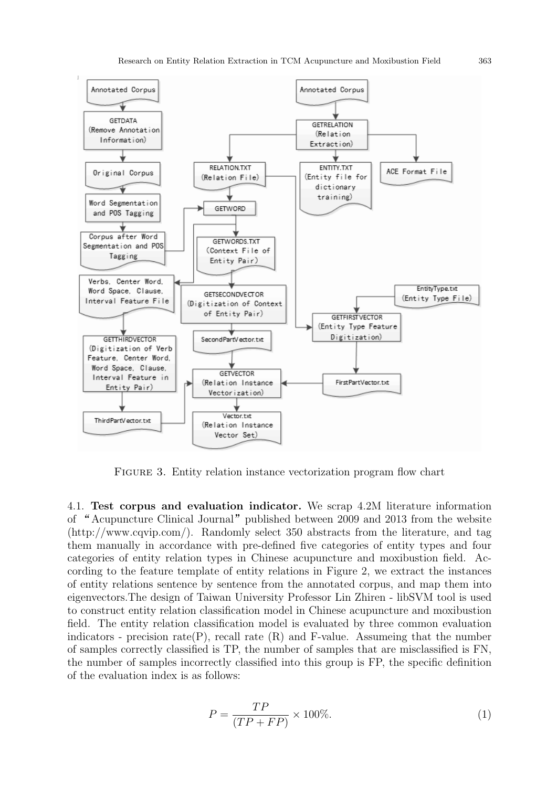

FIGURE 3. Entity relation instance vectorization program flow chart

4.1. Test corpus and evaluation indicator. We scrap 4.2M literature information of "Acupuncture Clinical Journal" published between 2009 and 2013 from the website (http://www.cqvip.com/). Randomly select 350 abstracts from the literature, and tag them manually in accordance with pre-defined five categories of entity types and four categories of entity relation types in Chinese acupuncture and moxibustion field. According to the feature template of entity relations in Figure 2, we extract the instances of entity relations sentence by sentence from the annotated corpus, and map them into eigenvectors.The design of Taiwan University Professor Lin Zhiren - libSVM tool is used to construct entity relation classification model in Chinese acupuncture and moxibustion field. The entity relation classification model is evaluated by three common evaluation indicators - precision rate  $(P)$ , recall rate  $(R)$  and F-value. Assumeing that the number of samples correctly classified is TP, the number of samples that are misclassified is FN, the number of samples incorrectly classified into this group is FP, the specific definition of the evaluation index is as follows:

$$
P = \frac{TP}{(TP + FP)} \times 100\%.\tag{1}
$$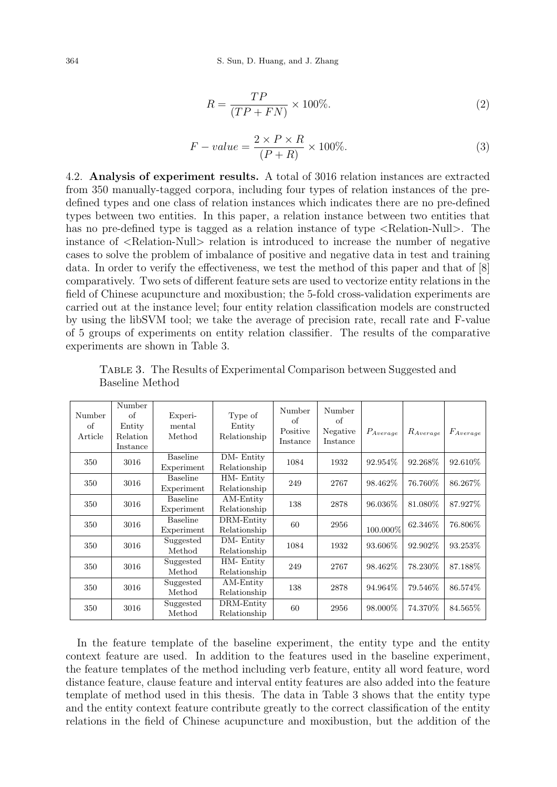$$
R = \frac{TP}{(TP + FN)} \times 100\%.\tag{2}
$$

$$
F-value = \frac{2 \times P \times R}{(P+R)} \times 100\%.
$$
\n(3)

4.2. Analysis of experiment results. A total of 3016 relation instances are extracted from 350 manually-tagged corpora, including four types of relation instances of the predefined types and one class of relation instances which indicates there are no pre-defined types between two entities. In this paper, a relation instance between two entities that has no pre-defined type is tagged as a relation instance of type  $\leq$ Relation-Null $\geq$ . The instance of <Relation-Null> relation is introduced to increase the number of negative cases to solve the problem of imbalance of positive and negative data in test and training data. In order to verify the effectiveness, we test the method of this paper and that of [8] comparatively. Two sets of different feature sets are used to vectorize entity relations in the field of Chinese acupuncture and moxibustion; the 5-fold cross-validation experiments are carried out at the instance level; four entity relation classification models are constructed by using the libSVM tool; we take the average of precision rate, recall rate and F-value of 5 groups of experiments on entity relation classifier. The results of the comparative experiments are shown in Table 3.

| Number<br>οf<br>Article | Number<br>of<br>Entity<br>Relation<br>Instance | Experi-<br>mental<br>Method   | Type of<br>Entity<br>Relationship | Number<br>of<br>Positive<br>Instance | Number<br>οf<br>Negative<br>Instance | $P_{Average}$ | $R_{Average}$ | $F_{Average}$ |
|-------------------------|------------------------------------------------|-------------------------------|-----------------------------------|--------------------------------------|--------------------------------------|---------------|---------------|---------------|
| 350                     | 3016                                           | <b>Baseline</b><br>Experiment | DM-Entity<br>Relationship         | 1084                                 | 1932                                 | 92.954\%      | 92.268\%      | 92.610\%      |
| 350                     | 3016                                           | <b>Baseline</b><br>Experiment | HM-Entity<br>Relationship         | 249                                  | 2767                                 | 98.462\%      | 76.760%       | 86.267%       |
| 350                     | 3016                                           | <b>Baseline</b><br>Experiment | AM-Entity<br>Relationship         | 138                                  | 2878                                 | 96.036\%      | 81.080\%      | 87.927\%      |
| 350                     | 3016                                           | <b>Baseline</b><br>Experiment | DRM-Entity<br>Relationship        | 60                                   | 2956                                 | 100.000%      | 62.346\%      | 76.806\%      |
| 350                     | 3016                                           | Suggested<br>Method           | DM-Entity<br>Relationship         | 1084                                 | 1932                                 | 93.606\%      | 92.902\%      | 93.253\%      |
| 350                     | 3016                                           | Suggested<br>Method           | HM-Entity<br>Relationship         | 249                                  | 2767                                 | 98.462\%      | 78.230\%      | 87.188\%      |
| 350                     | 3016                                           | Suggested<br>Method           | AM-Entity<br>Relationship         | 138                                  | 2878                                 | 94.964\%      | 79.546\%      | 86.574\%      |
| 350                     | 3016                                           | Suggested<br>Method           | DRM-Entity<br>Relationship        | 60                                   | 2956                                 | 98.000\%      | 74.370%       | 84.565%       |

Table 3. The Results of Experimental Comparison between Suggested and Baseline Method

In the feature template of the baseline experiment, the entity type and the entity context feature are used. In addition to the features used in the baseline experiment, the feature templates of the method including verb feature, entity all word feature, word distance feature, clause feature and interval entity features are also added into the feature template of method used in this thesis. The data in Table 3 shows that the entity type and the entity context feature contribute greatly to the correct classification of the entity relations in the field of Chinese acupuncture and moxibustion, but the addition of the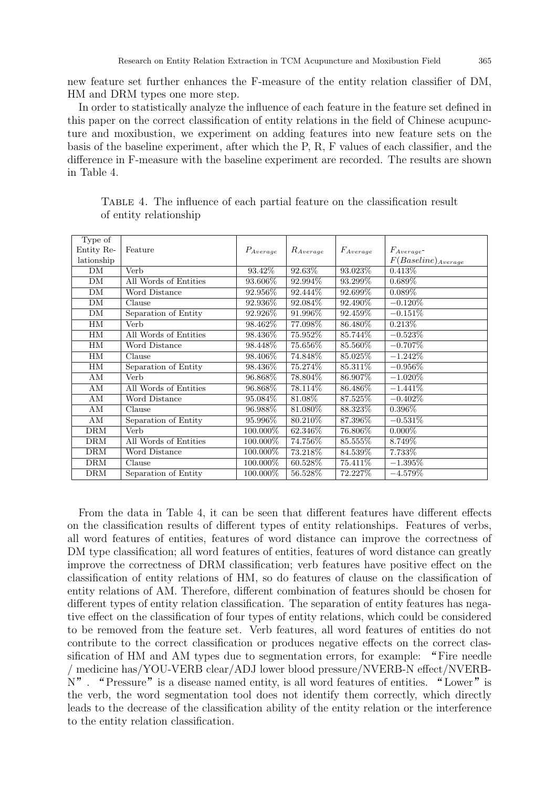new feature set further enhances the F-measure of the entity relation classifier of DM, HM and DRM types one more step.

In order to statistically analyze the influence of each feature in the feature set defined in this paper on the correct classification of entity relations in the field of Chinese acupuncture and moxibustion, we experiment on adding features into new feature sets on the basis of the baseline experiment, after which the P, R, F values of each classifier, and the difference in F-measure with the baseline experiment are recorded. The results are shown in Table 4.

| Type of    |                       |               |               |               |                         |
|------------|-----------------------|---------------|---------------|---------------|-------------------------|
| Entity Re- | Feature               | $P_{Average}$ | $R_{Average}$ | $F_{Average}$ | $F_{Average}$ -         |
| lationship |                       |               |               |               | $F(Baseline)_{Average}$ |
| DM         | Verb                  | 93.42\%       | 92.63%        | 93.023%       | $0.413\%$               |
| DM         | All Words of Entities | 93.606\%      | 92.994\%      | 93.299%       | $0.689\%$               |
| DM         | Word Distance         | 92.956%       | 92.444%       | 92.699%       | $0.089\%$               |
| DM         | Clause                | 92.936\%      | 92.084\%      | 92.490\%      | $-0.120\%$              |
| DM         | Separation of Entity  | 92.926\%      | 91.996\%      | 92.459\%      | $-0.151\%$              |
| HM         | Verb                  | 98.462%       | 77.098%       | 86.480%       | 0.213\%                 |
| HМ         | All Words of Entities | 98.436\%      | 75.952\%      | 85.744%       | $-0.523\%$              |
| HM         | Word Distance         | 98.448\%      | 75.656%       | 85.560\%      | $-0.707\%$              |
| HМ         | Clause                | 98.406\%      | 74.848%       | 85.025\%      | $-1.242\%$              |
| HМ         | Separation of Entity  | 98.436\%      | 75.274\%      | 85.311\%      | $-0.956\%$              |
| AM         | Verb                  | 96.868%       | 78.804%       | 86.907%       | $-1.020\%$              |
| AМ         | All Words of Entities | 96.868\%      | 78.114\%      | 86.486\%      | $-1.441\%$              |
| AM         | Word Distance         | 95.084\%      | 81.08%        | 87.525\%      | $-0.402\%$              |
| AМ         | Clause                | 96.988%       | 81.080%       | 88.323%       | $0.396\%$               |
| AM         | Separation of Entity  | 95.996\%      | 80.210\%      | 87.396%       | $-0.531\%$              |
| <b>DRM</b> | Verb                  | $100.000\%$   | 62.346\%      | 76.806\%      | $0.000\%$               |
| <b>DRM</b> | All Words of Entities | 100.000%      | 74.756%       | 85.555%       | 8.749%                  |
| <b>DRM</b> | Word Distance         | 100.000\%     | 73.218\%      | 84.539%       | 7.733%                  |
| <b>DRM</b> | Clause                | 100.000\%     | 60.528%       | 75.411%       | $-1.395\%$              |
| <b>DRM</b> | Separation of Entity  | 100.000\%     | 56.528\%      | 72.227\%      | $-4.579\%$              |

Table 4. The influence of each partial feature on the classification result of entity relationship

From the data in Table 4, it can be seen that different features have different effects on the classification results of different types of entity relationships. Features of verbs, all word features of entities, features of word distance can improve the correctness of DM type classification; all word features of entities, features of word distance can greatly improve the correctness of DRM classification; verb features have positive effect on the classification of entity relations of HM, so do features of clause on the classification of entity relations of AM. Therefore, different combination of features should be chosen for different types of entity relation classification. The separation of entity features has negative effect on the classification of four types of entity relations, which could be considered to be removed from the feature set. Verb features, all word features of entities do not contribute to the correct classification or produces negative effects on the correct classification of HM and AM types due to segmentation errors, for example: "Fire needle / medicine has/YOU-VERB clear/ADJ lower blood pressure/NVERB-N effect/NVERBsification of HM and AM types due to segmentation errors, for example: "Fire needle / medicine has/YOU-VERB clear/ADJ lower blood pressure/NVERB-N effect/NVERB-N". "Pressure" is a disease named entity, is all word feature the verb, the word segmentation tool does not identify them correctly, which directly leads to the decrease of the classification ability of the entity relation or the interference to the entity relation classification.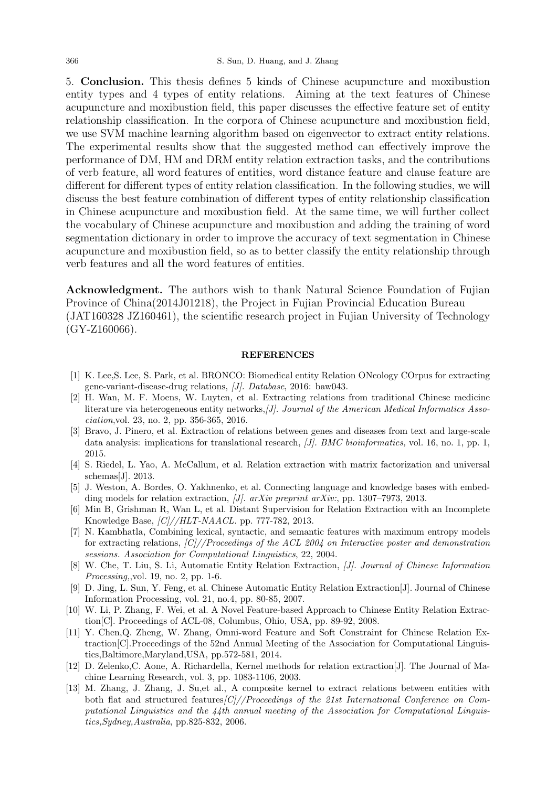5. Conclusion. This thesis defines 5 kinds of Chinese acupuncture and moxibustion entity types and 4 types of entity relations. Aiming at the text features of Chinese acupuncture and moxibustion field, this paper discusses the effective feature set of entity relationship classification. In the corpora of Chinese acupuncture and moxibustion field, we use SVM machine learning algorithm based on eigenvector to extract entity relations. The experimental results show that the suggested method can effectively improve the performance of DM, HM and DRM entity relation extraction tasks, and the contributions of verb feature, all word features of entities, word distance feature and clause feature are different for different types of entity relation classification. In the following studies, we will discuss the best feature combination of different types of entity relationship classification in Chinese acupuncture and moxibustion field. At the same time, we will further collect the vocabulary of Chinese acupuncture and moxibustion and adding the training of word segmentation dictionary in order to improve the accuracy of text segmentation in Chinese acupuncture and moxibustion field, so as to better classify the entity relationship through verb features and all the word features of entities.

Acknowledgment. The authors wish to thank Natural Science Foundation of Fujian Province of China(2014J01218), the Project in Fujian Provincial Education Bureau (JAT160328 JZ160461), the scientific research project in Fujian University of Technology  $(GY-Z160066)$ .

## **REFERENCES**

- [1] K. Lee,S. Lee, S. Park, et al. BRONCO: Biomedical entity Relation ONcology COrpus for extracting gene-variant-disease-drug relations, [J]. Database, 2016: baw043.
- [2] H. Wan, M. F. Moens, W. Luyten, et al. Extracting relations from traditional Chinese medicine literature via heterogeneous entity networks, [J]. Journal of the American Medical Informatics Association,vol. 23, no. 2, pp. 356-365, 2016.
- [3] Bravo, J. Pinero, et al. Extraction of relations between genes and diseases from text and large-scale data analysis: implications for translational research, *[J]. BMC bioinformatics*, vol. 16, no. 1, pp. 1, 2015.
- [4] S. Riedel, L. Yao, A. McCallum, et al. Relation extraction with matrix factorization and universal schemas[J]. 2013.
- [5] J. Weston, A. Bordes, O. Yakhnenko, et al. Connecting language and knowledge bases with embedding models for relation extraction, [J]. arXiv preprint arXiv:, pp. 1307–7973, 2013.
- [6] Min B, Grishman R, Wan L, et al. Distant Supervision for Relation Extraction with an Incomplete Knowledge Base, [C]//HLT-NAACL. pp. 777-782, 2013.
- [7] N. Kambhatla, Combining lexical, syntactic, and semantic features with maximum entropy models for extracting relations,  $\frac{|C|}{|P}$ roceedings of the ACL 2004 on Interactive poster and demonstration sessions. Association for Computational Linguistics, 22, 2004.
- [8] W. Che, T. Liu, S. Li, Automatic Entity Relation Extraction, [J]. Journal of Chinese Information Processing,,vol. 19, no. 2, pp. 1-6.
- [9] D. Jing, L. Sun, Y. Feng, et al. Chinese Automatic Entity Relation Extraction[J]. Journal of Chinese Information Processing, vol. 21, no.4, pp. 80-85, 2007.
- [10] W. Li, P. Zhang, F. Wei, et al. A Novel Feature-based Approach to Chinese Entity Relation Extraction[C]. Proceedings of ACL-08, Columbus, Ohio, USA, pp. 89-92, 2008.
- [11] Y. Chen,Q. Zheng, W. Zhang, Omni-word Feature and Soft Constraint for Chinese Relation Extraction[C].Proceedings of the 52nd Annual Meeting of the Association for Computational Linguistics,Baltimore,Maryland,USA, pp.572-581, 2014.
- [12] D. Zelenko,C. Aone, A. Richardella, Kernel methods for relation extraction[J]. The Journal of Machine Learning Research, vol. 3, pp. 1083-1106, 2003.
- [13] M. Zhang, J. Zhang, J. Su,et al., A composite kernel to extract relations between entities with both flat and structured features $|C|/|Proceedings$  of the 21st International Conference on Computational Linguistics and the 44th annual meeting of the Association for Computational Linguistics,Sydney,Australia, pp.825-832, 2006.